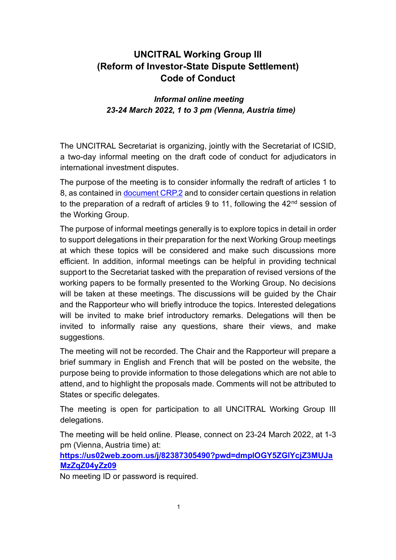# **UNCITRAL Working Group III (Reform of Investor-State Dispute Settlement) Code of Conduct**

### *Informal online meeting 23-24 March 2022, 1 to 3 pm (Vienna, Austria time)*

The UNCITRAL Secretariat is organizing, jointly with the Secretariat of ICSID, a two-day informal meeting on the draft code of conduct for adjudicators in international investment disputes.

The purpose of the meeting is to consider informally the redraft of articles 1 to 8, as contained in [document CRP.2](https://uncitral.un.org/sites/uncitral.un.org/files/crp_2_e.pdf) and to consider certain questions in relation to the preparation of a redraft of articles 9 to 11, following the  $42<sup>nd</sup>$  session of the Working Group.

The purpose of informal meetings generally is to explore topics in detail in order to support delegations in their preparation for the next Working Group meetings at which these topics will be considered and make such discussions more efficient. In addition, informal meetings can be helpful in providing technical support to the Secretariat tasked with the preparation of revised versions of the working papers to be formally presented to the Working Group. No decisions will be taken at these meetings. The discussions will be guided by the Chair and the Rapporteur who will briefly introduce the topics. Interested delegations will be invited to make brief introductory remarks. Delegations will then be invited to informally raise any questions, share their views, and make suggestions.

The meeting will not be recorded. The Chair and the Rapporteur will prepare a brief summary in English and French that will be posted on the website, the purpose being to provide information to those delegations which are not able to attend, and to highlight the proposals made. Comments will not be attributed to States or specific delegates.

The meeting is open for participation to all UNCITRAL Working Group III delegations.

The meeting will be held online. Please, connect on 23-24 March 2022, at 1-3 pm (Vienna, Austria time) at:

**[https://us02web.zoom.us/j/82387305490?pwd=dmplOGY5ZGlYcjZ3MUJa](https://us02web.zoom.us/j/82387305490?pwd=dmplOGY5ZGlYcjZ3MUJaMzZqZ04yZz09) [MzZqZ04yZz09](https://us02web.zoom.us/j/82387305490?pwd=dmplOGY5ZGlYcjZ3MUJaMzZqZ04yZz09)**

No meeting ID or password is required.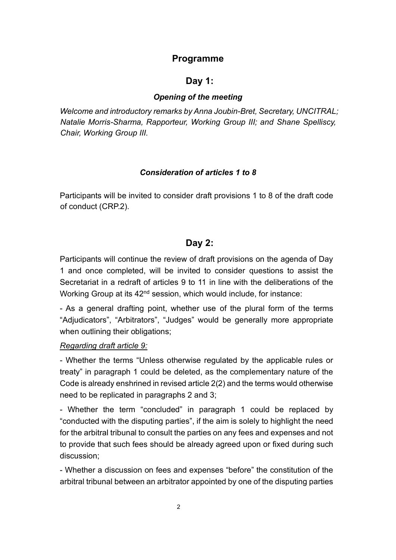# **Programme**

### **Day 1:**

#### *Opening of the meeting*

*Welcome and introductory remarks by Anna Joubin-Bret, Secretary, UNCITRAL; Natalie Morris-Sharma, Rapporteur, Working Group III; and Shane Spelliscy, Chair, Working Group III.*

#### *Consideration of articles 1 to 8*

Participants will be invited to consider draft provisions 1 to 8 of the draft code of conduct (CRP.2).

# **Day 2:**

Participants will continue the review of draft provisions on the agenda of Day 1 and once completed, will be invited to consider questions to assist the Secretariat in a redraft of articles 9 to 11 in line with the deliberations of the Working Group at its 42nd session, which would include, for instance:

- As a general drafting point, whether use of the plural form of the terms "Adjudicators", "Arbitrators", "Judges" would be generally more appropriate when outlining their obligations;

### *Regarding draft article 9:*

- Whether the terms "Unless otherwise regulated by the applicable rules or treaty" in paragraph 1 could be deleted, as the complementary nature of the Code is already enshrined in revised article 2(2) and the terms would otherwise need to be replicated in paragraphs 2 and 3;

- Whether the term "concluded" in paragraph 1 could be replaced by "conducted with the disputing parties", if the aim is solely to highlight the need for the arbitral tribunal to consult the parties on any fees and expenses and not to provide that such fees should be already agreed upon or fixed during such discussion;

- Whether a discussion on fees and expenses "before" the constitution of the arbitral tribunal between an arbitrator appointed by one of the disputing parties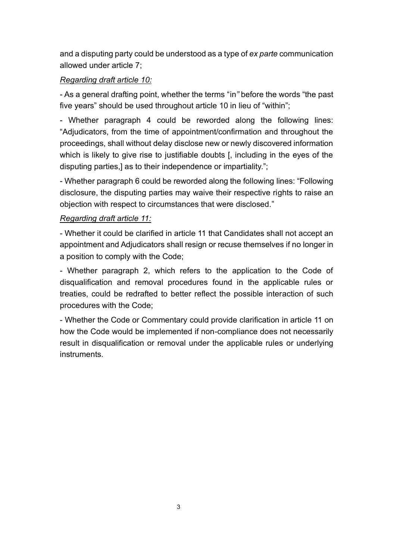and a disputing party could be understood as a type of *ex parte* communication allowed under article 7;

# *Regarding draft article 10:*

- As a general drafting point, whether the terms "in*"* before the words "the past five years" should be used throughout article 10 in lieu of "within";

- Whether paragraph 4 could be reworded along the following lines: "Adjudicators, from the time of appointment/confirmation and throughout the proceedings, shall without delay disclose new or newly discovered information which is likely to give rise to justifiable doubts [, including in the eyes of the disputing parties,] as to their independence or impartiality.";

- Whether paragraph 6 could be reworded along the following lines: "Following disclosure, the disputing parties may waive their respective rights to raise an objection with respect to circumstances that were disclosed."

## *Regarding draft article 11:*

- Whether it could be clarified in article 11 that Candidates shall not accept an appointment and Adjudicators shall resign or recuse themselves if no longer in a position to comply with the Code;

- Whether paragraph 2, which refers to the application to the Code of disqualification and removal procedures found in the applicable rules or treaties, could be redrafted to better reflect the possible interaction of such procedures with the Code;

- Whether the Code or Commentary could provide clarification in article 11 on how the Code would be implemented if non-compliance does not necessarily result in disqualification or removal under the applicable rules or underlying instruments.